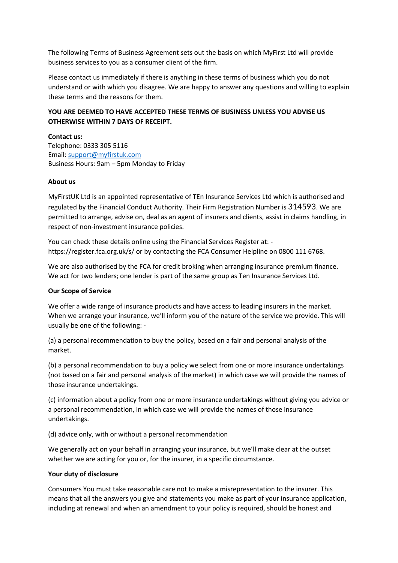The following Terms of Business Agreement sets out the basis on which MyFirst Ltd will provide business services to you as a consumer client of the firm.

Please contact us immediately if there is anything in these terms of business which you do not understand or with which you disagree. We are happy to answer any questions and willing to explain these terms and the reasons for them.

# **YOU ARE DEEMED TO HAVE ACCEPTED THESE TERMS OF BUSINESS UNLESS YOU ADVISE US OTHERWISE WITHIN 7 DAYS OF RECEIPT.**

### **Contact us:**

Telephone: 0333 305 5116 Email: [support@myfirstuk.com](mailto:support@myfirstuk.com) Business Hours: 9am – 5pm Monday to Friday

### **About us**

MyFirstUK Ltd is an appointed representative of TEn Insurance Services Ltd which is authorised and regulated by the Financial Conduct Authority. Their Firm Registration Number is 314593. We are permitted to arrange, advise on, deal as an agent of insurers and clients, assist in claims handling, in respect of non-investment insurance policies.

You can check these details online using the Financial Services Register at: https://register.fca.org.uk/s/ or by contacting the FCA Consumer Helpline on 0800 111 6768.

We are also authorised by the FCA for credit broking when arranging insurance premium finance. We act for two lenders; one lender is part of the same group as Ten Insurance Services Ltd.

#### **Our Scope of Service**

We offer a wide range of insurance products and have access to leading insurers in the market. When we arrange your insurance, we'll inform you of the nature of the service we provide. This will usually be one of the following: -

(a) a personal recommendation to buy the policy, based on a fair and personal analysis of the market.

(b) a personal recommendation to buy a policy we select from one or more insurance undertakings (not based on a fair and personal analysis of the market) in which case we will provide the names of those insurance undertakings.

(c) information about a policy from one or more insurance undertakings without giving you advice or a personal recommendation, in which case we will provide the names of those insurance undertakings.

(d) advice only, with or without a personal recommendation

We generally act on your behalf in arranging your insurance, but we'll make clear at the outset whether we are acting for you or, for the insurer, in a specific circumstance.

#### **Your duty of disclosure**

Consumers You must take reasonable care not to make a misrepresentation to the insurer. This means that all the answers you give and statements you make as part of your insurance application, including at renewal and when an amendment to your policy is required, should be honest and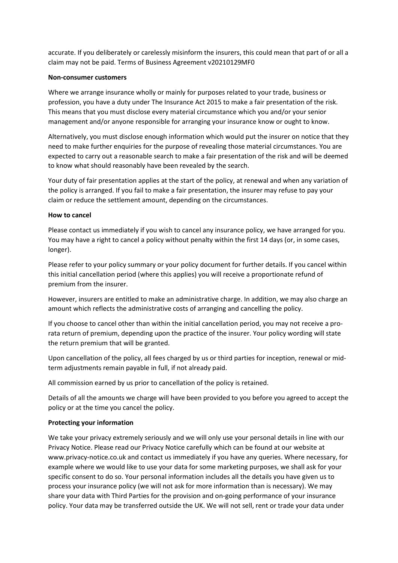accurate. If you deliberately or carelessly misinform the insurers, this could mean that part of or all a claim may not be paid. Terms of Business Agreement v20210129MF0

#### **Non-consumer customers**

Where we arrange insurance wholly or mainly for purposes related to your trade, business or profession, you have a duty under The Insurance Act 2015 to make a fair presentation of the risk. This means that you must disclose every material circumstance which you and/or your senior management and/or anyone responsible for arranging your insurance know or ought to know.

Alternatively, you must disclose enough information which would put the insurer on notice that they need to make further enquiries for the purpose of revealing those material circumstances. You are expected to carry out a reasonable search to make a fair presentation of the risk and will be deemed to know what should reasonably have been revealed by the search.

Your duty of fair presentation applies at the start of the policy, at renewal and when any variation of the policy is arranged. If you fail to make a fair presentation, the insurer may refuse to pay your claim or reduce the settlement amount, depending on the circumstances.

### **How to cancel**

Please contact us immediately if you wish to cancel any insurance policy, we have arranged for you. You may have a right to cancel a policy without penalty within the first 14 days (or, in some cases, longer).

Please refer to your policy summary or your policy document for further details. If you cancel within this initial cancellation period (where this applies) you will receive a proportionate refund of premium from the insurer.

However, insurers are entitled to make an administrative charge. In addition, we may also charge an amount which reflects the administrative costs of arranging and cancelling the policy.

If you choose to cancel other than within the initial cancellation period, you may not receive a prorata return of premium, depending upon the practice of the insurer. Your policy wording will state the return premium that will be granted.

Upon cancellation of the policy, all fees charged by us or third parties for inception, renewal or midterm adjustments remain payable in full, if not already paid.

All commission earned by us prior to cancellation of the policy is retained.

Details of all the amounts we charge will have been provided to you before you agreed to accept the policy or at the time you cancel the policy.

# **Protecting your information**

We take your privacy extremely seriously and we will only use your personal details in line with our Privacy Notice. Please read our Privacy Notice carefully which can be found at our website at www.privacy-notice.co.uk and contact us immediately if you have any queries. Where necessary, for example where we would like to use your data for some marketing purposes, we shall ask for your specific consent to do so. Your personal information includes all the details you have given us to process your insurance policy (we will not ask for more information than is necessary). We may share your data with Third Parties for the provision and on-going performance of your insurance policy. Your data may be transferred outside the UK. We will not sell, rent or trade your data under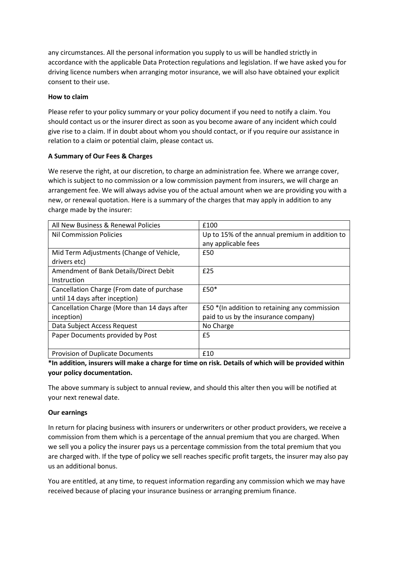any circumstances. All the personal information you supply to us will be handled strictly in accordance with the applicable Data Protection regulations and legislation. If we have asked you for driving licence numbers when arranging motor insurance, we will also have obtained your explicit consent to their use.

### **How to claim**

Please refer to your policy summary or your policy document if you need to notify a claim. You should contact us or the insurer direct as soon as you become aware of any incident which could give rise to a claim. If in doubt about whom you should contact, or if you require our assistance in relation to a claim or potential claim, please contact us.

# **A Summary of Our Fees & Charges**

We reserve the right, at our discretion, to charge an administration fee. Where we arrange cover, which is subject to no commission or a low commission payment from insurers, we will charge an arrangement fee. We will always advise you of the actual amount when we are providing you with a new, or renewal quotation. Here is a summary of the charges that may apply in addition to any charge made by the insurer:

| All New Business & Renewal Policies          | £100                                           |
|----------------------------------------------|------------------------------------------------|
| <b>Nil Commission Policies</b>               | Up to 15% of the annual premium in addition to |
|                                              | any applicable fees                            |
| Mid Term Adjustments (Change of Vehicle,     | £50                                            |
| drivers etc)                                 |                                                |
| Amendment of Bank Details/Direct Debit       | £25                                            |
| Instruction                                  |                                                |
| Cancellation Charge (From date of purchase   | £50*                                           |
| until 14 days after inception)               |                                                |
| Cancellation Charge (More than 14 days after | £50 *(In addition to retaining any commission  |
| inception)                                   | paid to us by the insurance company)           |
| Data Subject Access Request                  | No Charge                                      |
| Paper Documents provided by Post             | £5                                             |
|                                              |                                                |
| <b>Provision of Duplicate Documents</b>      | £10                                            |

# **\*In addition, insurers will make a charge for time on risk. Details of which will be provided within your policy documentation.**

The above summary is subject to annual review, and should this alter then you will be notified at your next renewal date.

# **Our earnings**

In return for placing business with insurers or underwriters or other product providers, we receive a commission from them which is a percentage of the annual premium that you are charged. When we sell you a policy the insurer pays us a percentage commission from the total premium that you are charged with. If the type of policy we sell reaches specific profit targets, the insurer may also pay us an additional bonus.

You are entitled, at any time, to request information regarding any commission which we may have received because of placing your insurance business or arranging premium finance.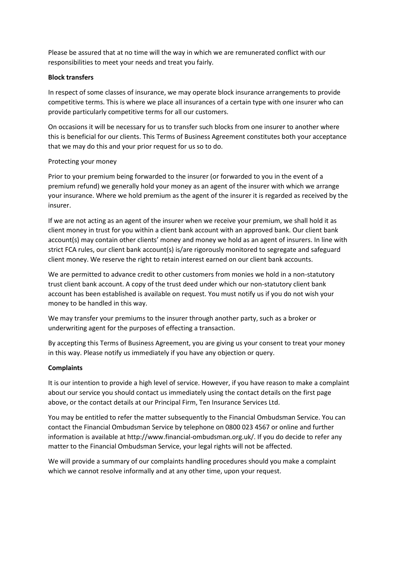Please be assured that at no time will the way in which we are remunerated conflict with our responsibilities to meet your needs and treat you fairly.

#### **Block transfers**

In respect of some classes of insurance, we may operate block insurance arrangements to provide competitive terms. This is where we place all insurances of a certain type with one insurer who can provide particularly competitive terms for all our customers.

On occasions it will be necessary for us to transfer such blocks from one insurer to another where this is beneficial for our clients. This Terms of Business Agreement constitutes both your acceptance that we may do this and your prior request for us so to do.

### Protecting your money

Prior to your premium being forwarded to the insurer (or forwarded to you in the event of a premium refund) we generally hold your money as an agent of the insurer with which we arrange your insurance. Where we hold premium as the agent of the insurer it is regarded as received by the insurer.

If we are not acting as an agent of the insurer when we receive your premium, we shall hold it as client money in trust for you within a client bank account with an approved bank. Our client bank account(s) may contain other clients' money and money we hold as an agent of insurers. In line with strict FCA rules, our client bank account(s) is/are rigorously monitored to segregate and safeguard client money. We reserve the right to retain interest earned on our client bank accounts.

We are permitted to advance credit to other customers from monies we hold in a non-statutory trust client bank account. A copy of the trust deed under which our non-statutory client bank account has been established is available on request. You must notify us if you do not wish your money to be handled in this way.

We may transfer your premiums to the insurer through another party, such as a broker or underwriting agent for the purposes of effecting a transaction.

By accepting this Terms of Business Agreement, you are giving us your consent to treat your money in this way. Please notify us immediately if you have any objection or query.

# **Complaints**

It is our intention to provide a high level of service. However, if you have reason to make a complaint about our service you should contact us immediately using the contact details on the first page above, or the contact details at our Principal Firm, Ten Insurance Services Ltd.

You may be entitled to refer the matter subsequently to the Financial Ombudsman Service. You can contact the Financial Ombudsman Service by telephone on 0800 023 4567 or online and further information is available at http://www.financial-ombudsman.org.uk/. If you do decide to refer any matter to the Financial Ombudsman Service, your legal rights will not be affected.

We will provide a summary of our complaints handling procedures should you make a complaint which we cannot resolve informally and at any other time, upon your request.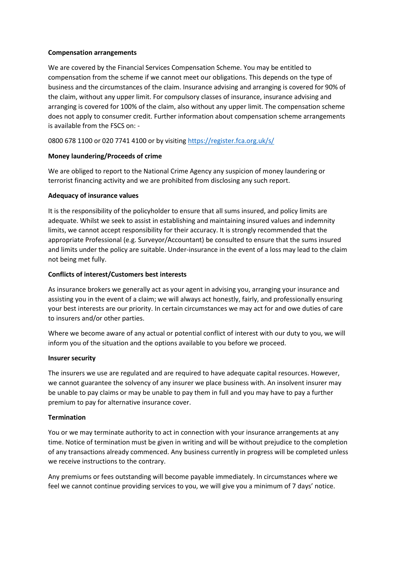#### **Compensation arrangements**

We are covered by the Financial Services Compensation Scheme. You may be entitled to compensation from the scheme if we cannot meet our obligations. This depends on the type of business and the circumstances of the claim. Insurance advising and arranging is covered for 90% of the claim, without any upper limit. For compulsory classes of insurance, insurance advising and arranging is covered for 100% of the claim, also without any upper limit. The compensation scheme does not apply to consumer credit. Further information about compensation scheme arrangements is available from the FSCS on: -

# 0800 678 1100 or 020 7741 4100 or by visiting<https://register.fca.org.uk/s/>

# **Money laundering/Proceeds of crime**

We are obliged to report to the National Crime Agency any suspicion of money laundering or terrorist financing activity and we are prohibited from disclosing any such report.

### **Adequacy of insurance values**

It is the responsibility of the policyholder to ensure that all sums insured, and policy limits are adequate. Whilst we seek to assist in establishing and maintaining insured values and indemnity limits, we cannot accept responsibility for their accuracy. It is strongly recommended that the appropriate Professional (e.g. Surveyor/Accountant) be consulted to ensure that the sums insured and limits under the policy are suitable. Under-insurance in the event of a loss may lead to the claim not being met fully.

# **Conflicts of interest/Customers best interests**

As insurance brokers we generally act as your agent in advising you, arranging your insurance and assisting you in the event of a claim; we will always act honestly, fairly, and professionally ensuring your best interests are our priority. In certain circumstances we may act for and owe duties of care to insurers and/or other parties.

Where we become aware of any actual or potential conflict of interest with our duty to you, we will inform you of the situation and the options available to you before we proceed.

#### **Insurer security**

The insurers we use are regulated and are required to have adequate capital resources. However, we cannot guarantee the solvency of any insurer we place business with. An insolvent insurer may be unable to pay claims or may be unable to pay them in full and you may have to pay a further premium to pay for alternative insurance cover.

#### **Termination**

You or we may terminate authority to act in connection with your insurance arrangements at any time. Notice of termination must be given in writing and will be without prejudice to the completion of any transactions already commenced. Any business currently in progress will be completed unless we receive instructions to the contrary.

Any premiums or fees outstanding will become payable immediately. In circumstances where we feel we cannot continue providing services to you, we will give you a minimum of 7 days' notice.